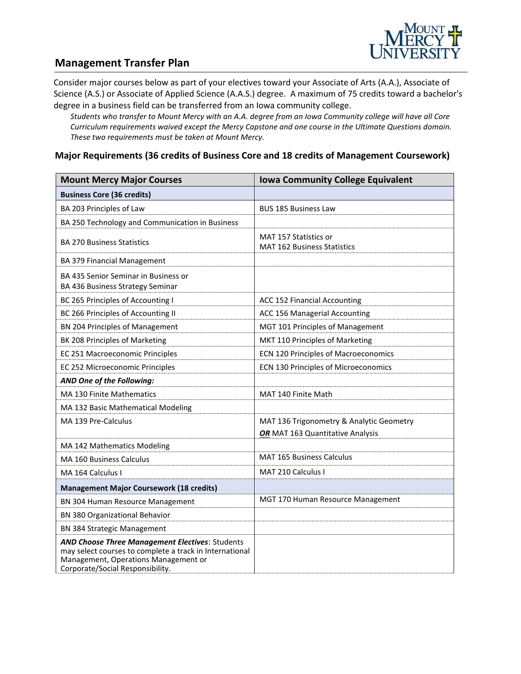

### **Management Transfer Plan**

Consider major courses below as part of your electives toward your Associate of Arts (A.A.), Associate of Science (A.S.) or Associate of Applied Science (A.A.S.) degree. A maximum of 75 credits toward a bachelor's degree in a business field can be transferred from an Iowa community college.

*Students who transfer to Mount Mercy with an A.A. degree from an Iowa Community college will have all Core Curriculum requirements waived except the Mercy Capstone and one course in the Ultimate Questions domain. These two requirements must be taken at Mount Mercy.*

#### **Major Requirements (36 credits of Business Core and 18 credits of Management Coursework)**

| <b>Mount Mercy Major Courses</b>                                                                                                                                                              | <b>Iowa Community College Equivalent</b>                    |
|-----------------------------------------------------------------------------------------------------------------------------------------------------------------------------------------------|-------------------------------------------------------------|
| <b>Business Core (36 credits)</b>                                                                                                                                                             |                                                             |
| BA 203 Principles of Law                                                                                                                                                                      | <b>BUS 185 Business Law</b>                                 |
| BA 250 Technology and Communication in Business                                                                                                                                               |                                                             |
| <b>BA 270 Business Statistics</b>                                                                                                                                                             | MAT 157 Statistics or<br><b>MAT 162 Business Statistics</b> |
| BA 379 Financial Management                                                                                                                                                                   |                                                             |
| BA 435 Senior Seminar in Business or<br>BA 436 Business Strategy Seminar                                                                                                                      |                                                             |
| BC 265 Principles of Accounting I                                                                                                                                                             | ACC 152 Financial Accounting                                |
| BC 266 Principles of Accounting II                                                                                                                                                            | ACC 156 Managerial Accounting                               |
| BN 204 Principles of Management                                                                                                                                                               | MGT 101 Principles of Management                            |
| BK 208 Principles of Marketing                                                                                                                                                                | MKT 110 Principles of Marketing                             |
| EC 251 Macroeconomic Principles                                                                                                                                                               | <b>ECN 120 Principles of Macroeconomics</b>                 |
| EC 252 Microeconomic Principles                                                                                                                                                               | ECN 130 Principles of Microeconomics                        |
| AND One of the Following:                                                                                                                                                                     |                                                             |
| MA 130 Finite Mathematics                                                                                                                                                                     | MAT 140 Finite Math                                         |
| MA 132 Basic Mathematical Modeling                                                                                                                                                            |                                                             |
| MA 139 Pre-Calculus                                                                                                                                                                           | MAT 136 Trigonometry & Analytic Geometry                    |
| MA 142 Mathematics Modeling                                                                                                                                                                   | OR MAT 163 Quantitative Analysis                            |
| MA 160 Business Calculus                                                                                                                                                                      | MAT 165 Business Calculus                                   |
| MA 164 Calculus I                                                                                                                                                                             | MAT 210 Calculus I                                          |
| <b>Management Major Coursework (18 credits)</b>                                                                                                                                               |                                                             |
| BN 304 Human Resource Management                                                                                                                                                              | MGT 170 Human Resource Management                           |
| BN 380 Organizational Behavior                                                                                                                                                                |                                                             |
| BN 384 Strategic Management                                                                                                                                                                   |                                                             |
| <b>AND Choose Three Management Electives: Students</b><br>may select courses to complete a track in International<br>Management, Operations Management or<br>Corporate/Social Responsibility. |                                                             |